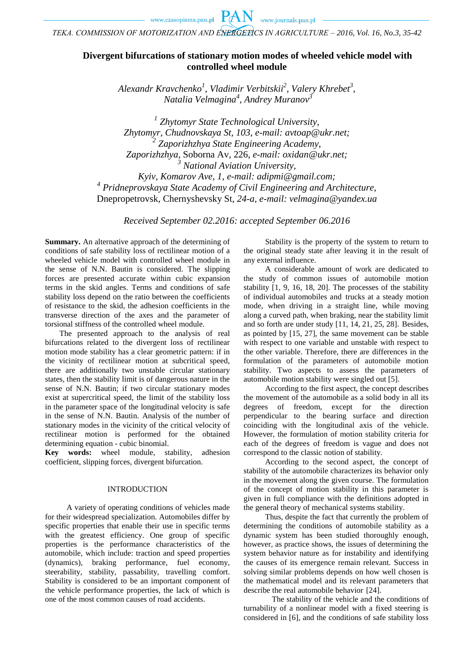*ТЕKA. COMMISSION OF MOTORIZATION AND ENERGETICS IN AGRICULTURE – 2016, Vol. 16, No.3, 35-42*

# **Divergent bifurcations of stationary motion modes of wheeled vehicle model with controlled wheel module**

*Alexandr Kravchenko<sup>1</sup> , Vladimir Verbitskii 2 , Valery Khrebet<sup>3</sup> , Natalia Velmagina<sup>4</sup> , Andrey Muranov<sup>3</sup>*

*1 Zhytomyr State Technological University, Zhytomyr, Chudnovskaya St, 103, e-mail: avtoap@ukr.net; 2 Zaporizhzhya State Engineering Academy*, *Zaporizhzhya*, Soborna Av, 226*, e-mail: [oxidan@ukr.net;](mailto:oxidan@ukr.net) <sup>3</sup> National Aviation University, Kyiv, Komarov Ave, 1, e-mail: adipmi@gmail.com;*

*4 Pridneprovskaya State Academy of Civil Engineering and Architecture,* Dnepropetrovsk, Chernyshevsky St, *24-a, e-mail: [velmagina@yandex.ua](mailto:velmagina@yandex.ua)*

*Received September 02.2016: accepted September 06.2016*

**Summary.** An alternative approach of the determining of conditions of safe stability loss of rectilinear motion of a wheeled vehicle model with controlled wheel module in the sense of N.N. Bautin is considered. The slipping forces are presented accurate within cubic expansion terms in the skid angles. Terms and conditions of safe stability loss depend on the ratio between the coefficients of resistance to the skid, the adhesion coefficients in the transverse direction of the axes and the parameter of torsional stiffness of the controlled wheel module.

The presented approach to the analysis of real bifurcations related to the divergent loss of rectilinear motion mode stability has a clear geometric pattern: if in the vicinity of rectilinear motion at subcritical speed, there are additionally two unstable circular stationary states, then the stability limit is of dangerous nature in the sense of N.N. Bautin; if two circular stationary modes exist at supercritical speed, the limit of the stability loss in the parameter space of the longitudinal velocity is safe in the sense of N.N. Bautin. Analysis of the number of stationary modes in the vicinity of the critical velocity of rectilinear motion is performed for the obtained determining equation - cubic binomial.

**Key words:** wheel module, stability, adhesion coefficient, slipping forces, divergent bifurcation.

#### INTRODUCTION

A variety of operating conditions of vehicles made for their widespread specialization. Automobiles differ by specific properties that enable their use in specific terms with the greatest efficiency. One group of specific properties is the performance characteristics of the automobile, which include: traction and speed properties (dynamics), braking performance, fuel economy, steerability, stability, passability, travelling comfort. Stability is considered to be an important component of the vehicle performance properties, the lack of which is one of the most common causes of road accidents.

Stability is the property of the system to return to the original steady state after leaving it in the result of any external influence.

A considerable amount of work are dedicated to the study of common issues of automobile motion stability [1, 9, 16, 18, 20]. The processes of the stability of individual automobiles and trucks at a steady motion mode, when driving in a straight line, while moving along a curved path, when braking, near the stability limit and so forth are under study [11, 14, 21, 25, 28]. Besides, as pointed by [15, 27], the same movement can be stable with respect to one variable and unstable with respect to the other variable. Therefore, there are differences in the formulation of the parameters of automobile motion stability. Two aspects to assess the parameters of automobile motion stability were singled out [5].

According to the first aspect, the concept describes the movement of the automobile as a solid body in all its degrees of freedom, except for the direction perpendicular to the bearing surface and direction coinciding with the longitudinal axis of the vehicle. However, the formulation of motion stability criteria for each of the degrees of freedom is vague and does not correspond to the classic notion of stability.

According to the second aspect, the concept of stability of the automobile characterizes its behavior only in the movement along the given course. The formulation of the concept of motion stability in this parameter is given in full compliance with the definitions adopted in the general theory of mechanical systems stability.

Thus, despite the fact that currently the problem of determining the conditions of automobile stability as a dynamic system has been studied thoroughly enough, however, as practice shows, the issues of determining the system behavior nature as for instability and identifying the causes of its emergence remain relevant. Success in solving similar problems depends on how well chosen is the mathematical model and its relevant parameters that describe the real automobile behavior [24].

The stability of the vehicle and the conditions of turnability of a nonlinear model with a fixed steering is considered in [6], and the conditions of safe stability loss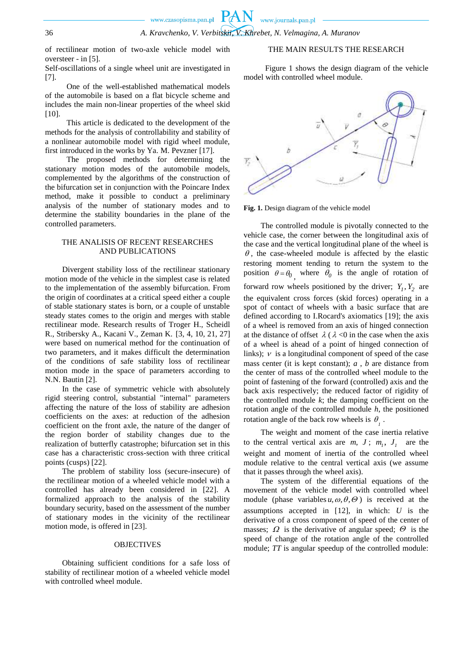of rectilinear motion of two-axle vehicle model with oversteer - in [5].

Self-oscillations of a single wheel unit are investigated in [7].

One of the well-established mathematical models of the automobile is based on a flat bicycle scheme and includes the main non-linear properties of the wheel skid  $[10]$ .

This article is dedicated to the development of the methods for the analysis of controllability and stability of a nonlinear automobile model with rigid wheel module, first introduced in the works by Ya. M. Pevzner [17].

The proposed methods for determining the stationary motion modes of the automobile models, complemented by the algorithms of the construction of the bifurcation set in conjunction with the Poincare Index method, make it possible to conduct a preliminary analysis of the number of stationary modes and to determine the stability boundaries in the plane of the controlled parameters.

### THE ANALISIS OF RECENT RESEARCHES AND PUBLICATIONS

Divergent stability loss of the rectilinear stationary motion mode of the vehicle in the simplest case is related to the implementation of the assembly bifurcation. From the origin of coordinates at a critical speed either a couple of stable stationary states is born, or a couple of unstable steady states comes to the origin and merges with stable rectilinear mode. Research results of Troger H., Scheidl R., Stribersky A., Kacani V., Zeman K. [3, 4, 10, 21, 27] were based on numerical method for the continuation of two parameters, and it makes difficult the determination of the conditions of safe stability loss of rectilinear motion mode in the space of parameters according to N.N. Bautin [2].

In the case of symmetric vehicle with absolutely rigid steering control, substantial "internal" parameters affecting the nature of the loss of stability are adhesion coefficients on the axes: at reduction of the adhesion coefficient on the front axle, the nature of the danger of the region border of stability changes due to the realization of butterfly catastrophe; bifurcation set in this case has a characteristic cross-section with three critical points (cusps) [22].

The problem of stability loss (secure-insecure) of the rectilinear motion of a wheeled vehicle model with a controlled has already been considered in [22]. A formalized approach to the analysis of the stability boundary security, based on the assessment of the number of stationary modes in the vicinity of the rectilinear motion mode, is offered in [23].

### **OBJECTIVES**

Obtaining sufficient conditions for a safe loss of stability of rectilinear motion of a wheeled vehicle model with controlled wheel module.

## THE MAIN RESULTS THE RESEARCH

Figure 1 shows the design diagram of the vehicle model with controlled wheel module.



**Fig. 1.** Design diagram of the vehicle model

The controlled module is pivotally connected to the vehicle case, the corner between the longitudinal axis of the case and the vertical longitudinal plane of the wheel is  $\theta$ , the case-wheeled module is affected by the elastic restoring moment tending to return the system to the position  $\theta = \theta_0$ , where  $\theta_0$  is the angle of rotation of forward row wheels positioned by the driver;  $Y_1, Y_2$  are the equivalent cross forces (skid forces) operating in a spot of contact of wheels with a basic surface that are defined according to I.Rocard's axiomatics [19]; the axis of a wheel is removed from an axis of hinged connection at the distance of offset  $\lambda$  ( $\lambda$  <0 in the case when the axis of a wheel is ahead of a point of hinged connection of links);  $\nu$  is a longitudinal component of speed of the case mass center (it is kept constant); *a* , *b* are distance from the center of mass of the controlled wheel module to the point of fastening of the forward (controlled) axis and the back axis respectively; the reduced factor of rigidity of the controlled module  $k$ ; the damping coefficient on the rotation angle of the controlled module *h*, the positioned rotation angle of the back row wheels is  $\theta_{i}$ .

The weight and moment of the case inertia relative to the central vertical axis are  $m, J$ ;  $m_1, J_1$  are the weight and moment of inertia of the controlled wheel module relative to the central vertical axis (we assume that it passes through the wheel axis).

The system of the differential equations of the movement of the vehicle model with controlled wheel module (phase variables  $u, \omega, \theta, \Theta$ ) is received at the assumptions accepted in [12], in which: *U* is the derivative of a cross component of speed of the center of masses;  $\Omega$  is the derivative of angular speed;  $\Theta$  is the speed of change of the rotation angle of the controlled module; *TT* is angular speedup of the controlled module: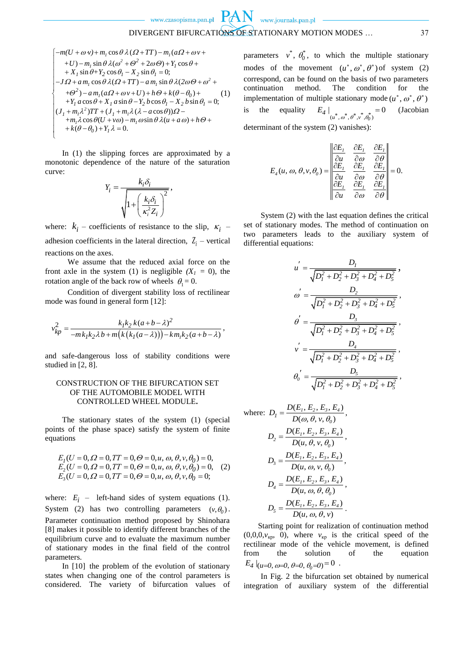$$
\begin{cases}\n-m(U + \omega v) + m_1 \cos \theta \lambda (Q + TT) - m_1(a\Omega + \omega v) \\
+ U) - m_1 \sin \theta \lambda (\omega^2 + \Theta^2 + 2\omega \Theta) + Y_1 \cos \theta + \\
+ X_1 \sin \theta + Y_2 \cos \theta_1 - X_2 \sin \theta_1 = 0; \\
-J\Omega + a m_1 \cos \theta \lambda (Q + TT) - a m_1 \sin \theta \lambda (2\omega \Theta + \omega^2 + \\
+ \Theta^2) - a m_1(a\Omega + \omega v + U) + h\Theta + k(\theta - \theta_0) + \\
+ Y_1 a \cos \theta + X_1 a \sin \theta - Y_2 b \cos \theta_1 - X_2 b \sin \theta_1 = 0; \\
(J_1 + m_1 \lambda^2) TT + (J_1 + m_1 \lambda (\lambda - a \cos \theta))\Omega - \\
+ m_1 \lambda \cos \theta (U + v\omega) - m_1 \omega \sin \theta \lambda (u + a\omega) + h\Theta + \\
+ k(\theta - \theta_0) + Y_1 \lambda = 0.\n\end{cases}
$$

In (1) the slipping forces are approximated by a monotonic dependence of the nature of the saturation curve:

$$
Y_i = \frac{k_i \delta_i}{\sqrt{1 + \left(\frac{k_i \delta_i}{\kappa_i^2 Z_i}\right)^2}},
$$

where:  $k_i$  – coefficients of resistance to the slip,  $\kappa_i$  – adhesion coefficients in the lateral direction,  $Z_i$  – vertical reactions on the axes.

We assume that the reduced axial force on the front axle in the system (1) is negligible  $(X<sub>1</sub> = 0)$ , the rotation angle of the back row of wheels  $\theta_1 = 0$ .

Condition of divergent stability loss of rectilinear mode was found in general form [12]:

$$
v_{kp}^2 = \frac{k_1 k_2 k(a+b-\lambda)^2}{-mk_1 k_2 \lambda b + m(k(k_1(a-\lambda))) - km_1 k_2(a+b-\lambda)},
$$

and safe-dangerous loss of stability conditions were studied in [2, 8].

# CONSTRUCTION OF THE BIFURCATION SET OF THE AUTOMOBILE MODEL WITH CONTROLLED WHEEL MODULE**.**

The stationary states of the system (1) (special points of the phase space) satisfy the system of finite equations

$$
E_I(U = 0, \Omega = 0, TT = 0, \Theta = 0, u, \omega, \theta, v, \theta_0) = 0,
$$
  
\n
$$
E_2(U = 0, \Omega = 0, TT = 0, \Theta = 0, u, \omega, \theta, v, \theta_0) = 0,
$$
  
\n
$$
E_3(U = 0, \Omega = 0, TT = 0, \Theta = 0, u, \omega, \theta, v, \theta_0 = 0;
$$

where:  $E_i$  – left-hand sides of system equations (1). System (2) has two controlling parameters  $(v, \theta_0)$ . Parameter continuation method proposed by Shinohara [8] makes it possible to identify different branches of the equilibrium curve and to evaluate the maximum number of stationary modes in the final field of the control parameters.

In [10] the problem of the evolution of stationary states when changing one of the control parameters is considered. The variety of bifurcation values of

parameters  $v^*$ ,  $\theta_0^*$ , to which the multiple stationary modes of the movement  $(u^*, \omega^*, \theta^*)$  of system (2) correspond, can be found on the basis of two parameters continuation method. The condition for the implementation of multiple stationary mode  $(u^*, \omega^*, \theta^*)$ is the equality  $|_{(u^*,\omega^*,\theta^*,v^*,\theta_0^*)}=0$  $E_4 \Big|_{(u^*,\omega^*,\theta^*,v^*,\theta_0^*)} =$ (Jacobian

determinant of the system (2) vanishes):

$$
E_4(u, \omega, \theta, v, \theta_0) = \begin{vmatrix} \frac{\partial E_1}{\partial u} & \frac{\partial E_1}{\partial \omega} & \frac{\partial E_1}{\partial \theta} \\ \frac{\partial E_1}{\partial u} & \frac{\partial E_1}{\partial \omega} & \frac{\partial E_1}{\partial \theta} \\ \frac{\partial E_1}{\partial u} & \frac{\partial E_1}{\partial \omega} & \frac{\partial E_1}{\partial \theta} \end{vmatrix} = 0.
$$

System (2) with the last equation defines the critical set of stationary modes. The method of continuation on two parameters leads to the auxiliary system of differential equations:

$$
u^{'} = \frac{D_{1}}{\sqrt{D_{1}^{2} + D_{2}^{2} + D_{3}^{2} + D_{4}^{2} + D_{5}^{2}}},
$$
  
\n
$$
\omega^{'} = \frac{D_{2}}{\sqrt{D_{1}^{2} + D_{2}^{2} + D_{3}^{2} + D_{4}^{2} + D_{5}^{2}}},
$$
  
\n
$$
\theta^{'} = \frac{D_{3}}{\sqrt{D_{1}^{2} + D_{2}^{2} + D_{3}^{2} + D_{4}^{2} + D_{5}^{2}}},
$$
  
\n
$$
v^{'} = \frac{D_{4}}{\sqrt{D_{1}^{2} + D_{2}^{2} + D_{3}^{2} + D_{4}^{2} + D_{5}^{2}}},
$$
  
\n
$$
\theta_{0}^{'} = \frac{D_{5}}{\sqrt{D_{1}^{2} + D_{2}^{2} + D_{3}^{2} + D_{4}^{2} + D_{5}^{2}}},
$$

where: 
$$
D_1 = \frac{D(E_1, E_2, E_3, E_4)}{D(\omega, \theta, v, \theta_0)},
$$
  
\n
$$
D_2 = \frac{D(E_1, E_2, E_3, E_4)}{D(u, \theta, v, \theta_0)},
$$
\n
$$
D_3 = \frac{D(E_1, E_2, E_3, E_4)}{D(u, \omega, v, \theta_0)},
$$
\n
$$
D_4 = \frac{D(E_1, E_2, E_3, E_4)}{D(u, \omega, \theta, \theta_0)},
$$
\n
$$
D_5 = \frac{D(E_1, E_2, E_3, E_4)}{D(u, \omega, \theta, \theta, v)}.
$$

Starting point for realization of continuation method  $(0,0,0,\nu_{\text{kp}}, 0)$ , where  $\nu_{\text{kp}}$  is the critical speed of the rectilinear mode of the vehicle movement, is defined from the solution of the equation  $E_4 |_{(u=0, \omega=0, \theta=0, \theta_0=0)} = 0$ .

In Fig. 2 the bifurcation set obtained by numerical integration of auxiliary system of the differential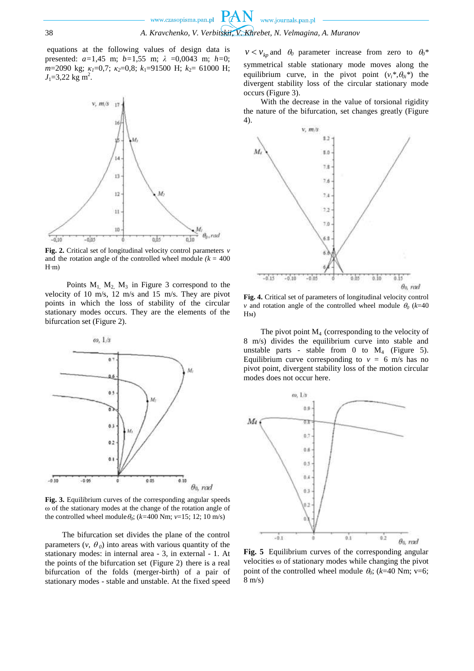equations at the following values of design data is presented: *a=*1,45 m; *b=*1,55 m; *λ* =0,0043 m; *h=*0; *m*=2090 kg; *κ1*=0,7; *κ2*=0,8; *k*1=91500 Н; *k*2= 61000 Н;  $J_1 = 3,22$  kg m<sup>2</sup>.



**Fig. 2.** Critical set of longitudinal velocity control parameters *v* and the rotation angle of the controlled wheel module  $(k = 400$ H∙m)

Points  $M_1$ ,  $M_2$ ,  $M_3$  in Figure 3 correspond to the velocity of 10 m/s, 12 m/s and 15 m/s. They are pivot points in which the loss of stability of the circular stationary modes occurs. They are the elements of the bifurcation set (Figure 2).



**Fig. 3.** Equilibrium curves of the corresponding angular speeds ω of the stationary modes at the change of the rotation angle of the controlled wheel module  $\theta_0$ ; ( $k=400$  Nm;  $\nu=15$ ; 12; 10 m/s)

The bifurcation set divides the plane of the control parameters  $(v, \theta_0)$  into areas with various quantity of the stationary modes: in internal area - 3, in external - 1. At the points of the bifurcation set (Figure 2) there is a real bifurcation of the folds (merger-birth) of a pair of stationary modes - stable and unstable. At the fixed speed

 $v < v_{kp}$  and  $\theta_0$  parameter increase from zero to  $\theta_0^*$ symmetrical stable stationary mode moves along the equilibrium curve, in the pivot point  $(v_i^*, \theta_{0i}^*)$  the divergent stability loss of the circular stationary mode occurs (Figure 3).

With the decrease in the value of torsional rigidity the nature of the bifurcation, set changes greatly (Figure 4).



**Fig. 4.** Critical set of parameters of longitudinal velocity control *v* and rotation angle of the controlled wheel module  $\theta_0$  ( $k=40$ Нм)

The pivot point  $M<sub>4</sub>$  (corresponding to the velocity of 8 m/s) divides the equilibrium curve into stable and unstable parts - stable from 0 to  $M_4$  (Figure 5). Equilibrium curve corresponding to  $v = 6$  m/s has no pivot point, divergent stability loss of the motion circular modes does not occur here.



**Fig. 5** Equilibrium curves of the corresponding angular velocities ω of stationary modes while changing the pivot point of the controlled wheel module  $\theta_0$ ; (*k*=40 Nm; v=6; 8 m/s)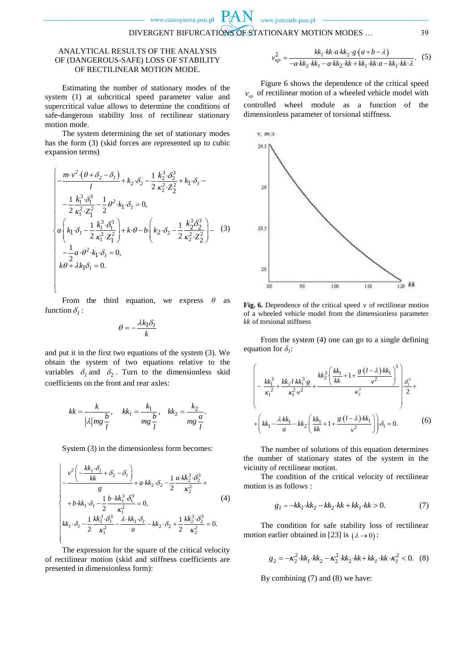### ANALYTICAL RESULTS OF THE ANALYSIS OF (DANGEROUS-SAFE) LOSS OF STABILITY OF RECTILINEAR MOTION MODE.

Estimating the number of stationary modes of the system (1) at subcritical speed parameter value and supercritical value allows to determine the conditions of safe-dangerous stability loss of rectilinear stationary motion mode.

The system determining the set of stationary modes has the form (3) (skid forces are represented up to cubic expansion terms)

$$
\begin{cases}\n-\frac{m \cdot v^2 \cdot (\theta + \delta_2 - \delta_1)}{l} + k_2 \cdot \delta_2 - \frac{1}{2} \frac{k_2^3 \cdot \delta_2^3}{\kappa_2^2 \cdot Z_2^2} + k_1 \cdot \delta_1 - \\
-\frac{1}{2} \frac{k_1^3 \cdot \delta_1^3}{\kappa_1^2 \cdot Z_1^2} - \frac{1}{2} \theta^2 \cdot k_1 \cdot \delta_1 = 0, \\
a \left(k_1 \cdot \delta_1 - \frac{1}{2} \frac{k_1^3 \cdot \delta_1^3}{\kappa_1^2 \cdot Z_1^2}\right) + k \cdot \theta - b \left(k_2 \cdot \delta_2 - \frac{1}{2} \frac{k_2^3 \delta_2^3}{\kappa_2^2 \cdot Z_2^2}\right) - \frac{1}{2} a \cdot \theta^2 \cdot k_1 \cdot \delta_1 = 0, \\
k \theta + \lambda k_1 \delta_1 = 0.\n\end{cases}
$$
\n(3)

 $\mathbf{I}$  . The contract of  $\mathbf{I}$ From the third equation, we express  $\theta$  as function  $\delta_l$ :

J

$$
\theta = -\frac{\lambda k_1 \delta_l}{k}
$$

and put it in the first two equations of the system (3). We obtain the system of two equations relative to the variables  $\delta_1$  and  $\delta_2$ . Turn to the dimensionless skid coefficients on the front and rear axles:

$$
kk = \frac{k}{|\lambda| mg} \frac{b}{l}, \quad kk_1 = \frac{k_1}{mg} \frac{b}{l}, \quad kk_2 = \frac{k_2}{mg} \frac{a}{l}.
$$

System (3) in the dimensionless form becomes:

$$
\begin{cases}\n-v^2\left(-\frac{kk_1 \cdot \delta_1}{kk} + \delta_2 - \delta_1\right) & 4 \le k \le 2, \delta_2 - \frac{1}{2} \frac{a \cdot k k_2^3 \cdot \delta_2^3}{\kappa_2^2} + \frac{b \cdot k k_1 \cdot \delta_1 - \frac{1}{2} \frac{b \cdot k k_1^3 \cdot \delta_1^3}{\kappa_1^2} = 0, & (4) \\
kk_1 \cdot \delta_1 - \frac{1}{2} \frac{k k_1^3 \cdot \delta_1^3}{\kappa_1^2} - \frac{\lambda \cdot k k_1 \cdot \delta_1}{a} - k k_2 \cdot \delta_2 + \frac{1}{2} \frac{k k_2^3 \cdot \delta_2^3}{\kappa_2^2} = 0.\n\end{cases}
$$

The expression for the square of the critical velocity of rectilinear motion (skid and stiffness coefficients are presented in dimensionless form):

$$
v_{kp}^2 = \frac{kk_1 \cdot kk \cdot a \cdot kk_2 \cdot g \cdot (a+b-\lambda)}{-a \cdot kk_2 \cdot kk_1 - a \cdot kk_2 \cdot kk + kk_1 \cdot kk \cdot a - kk_1 \cdot kk \cdot \lambda}.
$$
 (5)

Figure 6 shows the dependence of the critical speed  $v_{kp}$  of rectilinear motion of a wheeled vehicle model with controlled wheel module as a function of the dimensionless parameter of torsional stiffness.



**Fig. 6.** Dependence of the critical speed  $\nu$  of rectilinear motion of a wheeled vehicle model from the dimensionless parameter *kk* of torsional stiffness

From the system (4) one can go to a single defining equation for  $\delta_i$ :

$$
\left(-\frac{kk_1^3}{\kappa_1^2} + \frac{kk_2! k k_1^3 g}{\kappa_1^2 v^2} + \frac{kk_2^3 \left(\frac{kk_1}{kk} + 1 + \frac{g\left(l - \lambda\right)k k_1}{v^2}\right)^3}{\kappa_2^2}\right) \frac{\delta_1^3}{2} + \left(kk_1 - \frac{\lambda k k_1}{a} - k k_2 \left(\frac{kk_1}{kk} + 1 + \frac{g\left(l - \lambda\right)k k_1}{v^2}\right)\right) \delta_1 = 0.
$$
 (6)

The number of solutions of this equation determines the number of stationary states of the system in the vicinity of rectilinear motion.

The condition of the critical velocity of rectilinear motion is as follows :

$$
g_1 = -kk_1 \cdot kk_2 - kk_2 \cdot kk + kk_1 \cdot kk > 0.
$$
 (7)

The condition for safe stability loss of rectilinear motion earlier obtained in [23] is  $(\lambda \rightarrow 0)$ :

$$
g_2 = -\kappa_2^2 \cdot kk_1 \cdot kk_2 - \kappa_2^2 \cdot kk_2 \cdot kk + kk_1 \cdot kk \cdot \kappa_1^2 < 0. \tag{8}
$$

By combining (7) and (8) we have: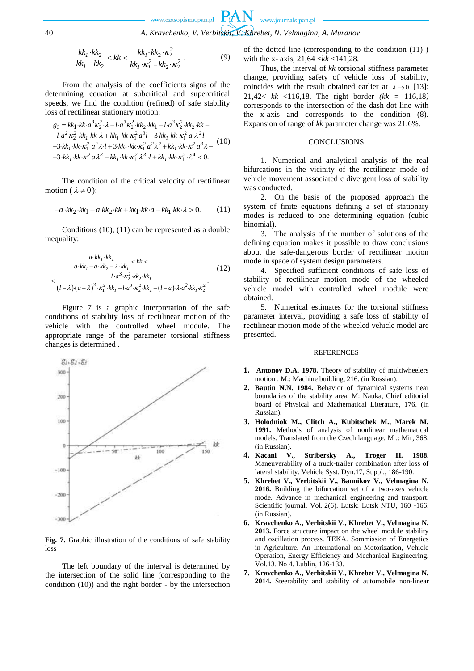$$
\frac{kk_1 \cdot kk_2}{kk_1 - kk_2} < kk < \frac{kk_1 \cdot kk_2 \cdot \kappa_2^2}{kk_1 \cdot \kappa_1^2 - kk_2 \cdot \kappa_2^2} \,. \tag{9}
$$

From the analysis of the coefficients signs of the determining equation at subcritical and supercritical speeds, we find the condition (refined) of safe stability

loss of rectilinear stationary motion:  
\n
$$
g_3 = k k_1 \cdot k k \cdot a^3 \kappa_2^2 \cdot \lambda - l \cdot a^3 \kappa_2^2 \cdot k k_2 \cdot k k_1 - l \cdot a^3 \kappa_2^2 \cdot k k_2 \cdot k k -
$$
  
\n $-l \cdot a^2 \kappa_2^2 \cdot k k_1 \cdot k k \cdot \lambda + k k_1 \cdot k k \cdot \kappa_1^2 a^3 l - 3 \cdot k k_1 \cdot k k \cdot \kappa_1^2 a \lambda^2 l -$   
\n $-3 \cdot k k_1 \cdot k k \cdot \kappa_1^2 a \lambda^3 - k k_1 \cdot k k \cdot \kappa_1^2 a^2 \lambda^2 + k k_1 \cdot k k \cdot \kappa_1^2 a^3 \lambda -$   
\n $-3 \cdot k k_1 \cdot k k \cdot \kappa_1^2 a \lambda^3 - k k_1 \cdot k k \cdot \kappa_1^2 \lambda^3 l + k k_1 \cdot k k \cdot \kappa_1^2 \cdot \lambda^4 < 0.$ 

The condition of the critical velocity of rectilinear motion ( $\lambda \neq 0$ ):

$$
-a \cdot kk_2 \cdot kk_1 - a \cdot kk_2 \cdot kk + kk_1 \cdot kk \cdot a - kk_1 \cdot kk \cdot \lambda > 0. \tag{11}
$$

Conditions (10), (11) can be represented as a double inequality:

$$
\frac{a \cdot kk_1 \cdot kk_2}{a \cdot kk_1 - a \cdot kk_2 - \lambda \cdot kk_1} < kk < \\
 < \frac{l \cdot a^3 \cdot \kappa_2^2 \cdot kk_2 \cdot kk_1}{(l - \lambda) \cdot (a - \lambda)^3 \cdot \kappa_1^2 \cdot kk_1 - l \cdot a^3 \cdot \kappa_2^2 \cdot kk_2 - (l - a) \cdot \lambda \cdot a^2 \cdot kk_1 \cdot \kappa_2^2}.\n \tag{12}
$$

Figure 7 is a graphic interpretation of the safe conditions of stability loss of rectilinear motion of the vehicle with the controlled wheel module. The appropriate range of the parameter torsional stiffness changes is determined .



**Fig. 7.** Graphic illustration of the conditions of safe stability loss

The left boundary of the interval is determined by the intersection of the solid line (corresponding to the condition (10)) and the right border - by the intersection of the dotted line (corresponding to the condition (11) ) with the x- axis; 21,64 <*kk* <141,28.

Thus, the interval of *kk* torsional stiffness parameter change, providing safety of vehicle loss of stability, coincides with the result obtained earlier at  $\lambda \rightarrow 0$  [13]: 21,42< *kk* <116,18. The right border *(kk =* 116,18*)* corresponds to the intersection of the dash-dot line with the x-axis and corresponds to the condition (8). Expansion of range of *kk* parameter change was 21,6%.

#### **CONCLUSIONS**

1. Numerical and analytical analysis of the real bifurcations in the vicinity of the rectilinear mode of vehicle movement associated c divergent loss of stability was conducted.

2. On the basis of the proposed approach the system of finite equations defining a set of stationary modes is reduced to one determining equation (cubic binomial).

3. The analysis of the number of solutions of the defining equation makes it possible to draw conclusions about the safe-dangerous border of rectilinear motion mode in space of system design parameters.

4. Specified sufficient conditions of safe loss of stability of rectilinear motion mode of the wheeled vehicle model with controlled wheel module were obtained.

5. Numerical estimates for the torsional stiffness parameter interval, providing a safe loss of stability of rectilinear motion mode of the wheeled vehicle model are presented.

#### REFERENCES

- **1. Antonov D.A. 1978.** Theory of stability of multiwheelers motion . M.: Machine building, 216. (in Russian).
- **2. Bautin N.N. 1984.** Behavior of dynamical systems near boundaries of the stability area. M: Nauka, Chief editorial board of Physical and Mathematical Literature, 176. (in Russian).
- **3. Holodniok M., Clitch A., Kubitschek M., Marek M. 1991.** Methods of analysis of nonlinear mathematical models. Translated from the Czech language. M .: Mir, 368. (in Russian).
- **4. Kacani V., Stribersky A., Troger H. 1988.** Maneuverability of a truck-trailer combination after loss of lateral stability. Vehicle Syst. Dyn.17, Suppl., 186-190.
- **5. Khrebet V., Verbitskii V., Bannikov V., Velmagina N. 2016.** Building the bifurcation set of a two-axes vehicle mode. Advance in mechanical engineering and transport. Scientific journal. Vol. 2(6). Lutsk: Lutsk NTU, 160 -166. (in Russian).
- **6. Kravchenko A., Verbitskii V., Khrebet V., Velmagina N. 2013.** Force structure impact on the wheel module stability and oscillation process. TEKA. Sommission of Energetics in Agriculture. An International on Motorization, Vehicle Operation, Energy Efficiency and Mechanical Engineering. Vol.13. No 4. Lublin, 126-133.
- **7. Kravchenko A., Verbitskii V., Khrebet V., Velmagina N. 2014.** Steerability and stability of automobile non-linear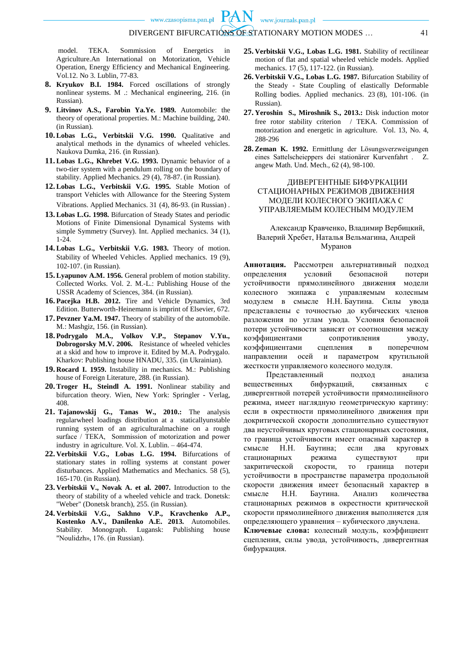model. TEKA. Sommission of Energetics in Agriculture.An International on Motorization, Vehicle Operation, Energy Efficiency and Mechanical Engineering. Vol.12. No 3. Lublin, 77-83.

- **8. Kryukov B.I. 1984.** Forced oscillations of strongly nonlinear systems. M .: Mechanical engineering, 216. (in Russian).
- **9. Litvinov A.S., Farobin Ya.Ye. 1989.** Automobile: the theory of operational properties. M.: Machine building, 240. (in Russian).
- **10. Lobas L.G., Verbitskii V.G. 1990.** Qualitative and analytical methods in the dynamics of wheeled vehicles. Naukova Dumka, 216. (in Russian).
- **11. Lobas L.G., Khrebet V.G. 1993.** Dynamic behavior of a two-tier system with a pendulum rolling on the boundary of stability. Applied Mechanics. 29 (4), 78-87. (in Russian).
- **12. Lobas L.G., Verbitskii V.G. 1995.** Stable Motion of transport Vehicles with Allowance for the Steering System Vibrations. Applied Mechanics. 31 (4), 86-93. (in Russian) .
- **13. Lobas L.G. 1998.** Bifurcation of Steady States and periodic Motions of Finite Dimensional Dynamical Systems with simple Symmetry (Survey). Int. Applied mechanics. 34 (1), 1-24.
- **14. Lobas L.G., Verbitskii V.G. 1983.** Theory of motion. Stability of Wheeled Vehicles. Applied mechanics. 19 (9), 102-107. (in Russian).
- **15. Lyapunov A.M. 1956.** General problem of motion stability. Collected Works. Vol. 2. M.-L.: Publishing House of the USSR Academy of Sciences, 384. (in Russian).
- **16. Pacejka H.B. 2012.** Tire and Vehicle Dynamics, 3rd Edition. Butterworth-Heinemann is imprint of Elsevier, 672.
- **17. Pevzner Ya.M. 1947.** Theory of stability of the automobile. M.: Mashgiz, 156. (in Russian).
- **18. Podrygalo M.A., Volkov V.P., Stepanov V.Yu., Dobrogorsky M.V. 2006.** Resistance of wheeled vehicles at a skid and how to improve it. Edited by M.A. Podrygalo. Kharkov: Publishing house HNADU, 335. (in Ukrainian).
- **19. Rocard I. 1959.** Instability in mechanics. M.: Publishing house of Foreign Literature, 288. (in Russian).
- **20. Troger H., Steindl A. 1991.** Nonlinear stability and bifurcation theory. Wien, New York: Springler - Verlag, 408.
- **21. Tajanowskij G., Tanas W., 2010.:** The analysis regularwheel loadings distribution at a staticallyunstable running system of an agriculturalmachine on a rough surface / TEKA, Sommission of motorization and power industry in agriculture. Vol. X. Lublin. – 464-474.
- **22. Verbitskii V.G., Lobas L.G. 1994.** Bifurcations of stationary states in rolling systems at constant power disturbances. Applied Mathematics and Mechanics. 58 (5), 165-170. (in Russian).
- **23. Verbitskii V., Novak A. et al. 2007.** Introduction to the theory of stability of a wheeled vehicle and track. Donetsk: "Weber" (Donetsk branch), 255. (in Russian).
- **24. Verbitskii V.G., Sakhno V.P., Kravchenko A.P., Kostenko A.V., Danilenko A.E. 2013.** Automobiles. Stability. Monograph. Lugansk: Publishing house "Noulidzh», 176. (in Russian).
- **25. Verbitskii V.G., Lobas L.G. 1981.** Stability of rectilinear motion of flat and spatial wheeled vehicle models. Applied mechanics. 17 (5), 117-122. (in Russian).
- **26. Verbitskii V.G., Lobas L.G. 1987.** Bifurcation Stability of the Steady - State Coupling of elastically Deformable Rolling bodies. Applied mechanics. 23 (8), 101-106. (in Russian).
- **27. Yeroshin S., Miroshnik S., 2013.:** Disk induction motor free rotor stability criterion / TEKA. Commission of motorization and energetic in agriculture. Vol. 13, No. 4, 288-296
- **28. Zeman K. 1992.** Ermittlung der Lösungsverzweigungen eines Sattelscheieppers dei stationärer Kurvenfahrt . Z. angew Math. Und. Mech., 62 (4), 98-100.

### ДИВЕРГЕНТНЫЕ БИФУРКАЦИИ СТАЦИОНАРНЫХ РЕЖИМОВ ДВИЖЕНИЯ МОДЕЛИ КОЛЕСНОГО ЭКИПАЖА С УПРАВЛЯЕМЫМ КОЛЕСНЫМ МОДУЛЕМ

# Александр Кравченко, Владимир Вербицкий, Валерий Хребет, Наталья Вельмагина, Андрей Муранов

**Аннотация.** Рассмотрен альтернативный подход определения условий безопасной потери устойчивости прямолинейного движения модели колесного экипажа с управляемым колесным модулем в смысле Н.Н. Баутина. Силы увода представлены с точностью до кубических членов разложения по углам увода. Условия безопасной потери устойчивости зависят от соотношения между коэффициентами сопротивления уводу, коэффициентами сцепления в поперечном направлении осей и параметром крутильной жесткости управляемого колесного модуля.

Представленный подход анализа вещественных бифуркаций, связанных с дивергентной потерей устойчивости прямолинейного режима, имеет наглядную геометрическую картину: если в окрестности прямолинейного движения при докритической скорости дополнительно существуют два неустойчивых круговых стационарных состояния, то граница устойчивости имеет опасный характер в смысле Н.Н. Баутина; если два круговых стационарных режима существуют при закритической скорости, то граница потери устойчивости в пространстве параметра продольной скорости движения имеет безопасный характер в смысле Н.Н. Баутина. Анализ количества стационарных режимов в окрестности критической скорости прямолинейного движения выполняется для определяющего уравнения – кубического двучлена. **Ключевые слова:** колесный модуль, коэффициент сцепления, силы увода, устойчивость, дивергентная

бифуркация.